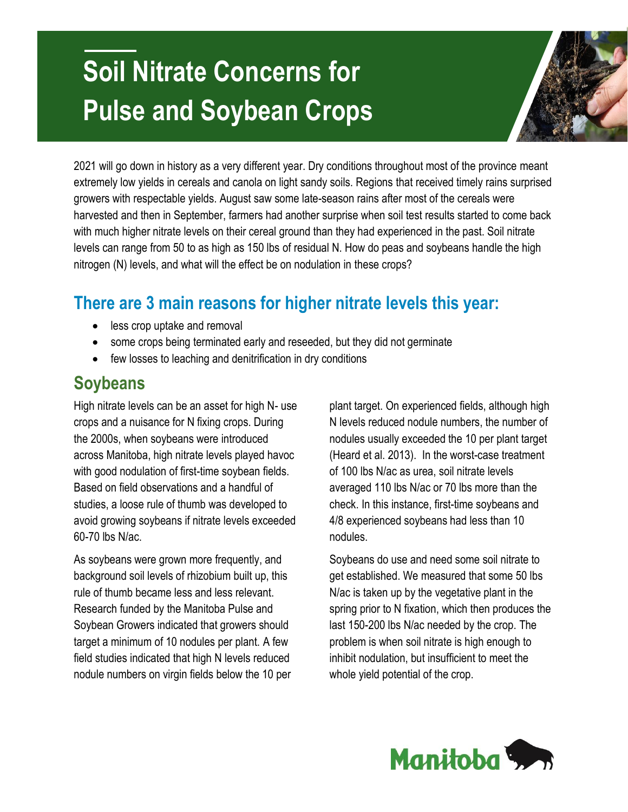# **Soil Nitrate Concerns for Pulse and Soybean Crops**



2021 will go down in history as a very different year. Dry conditions throughout most of the province meant extremely low yields in cereals and canola on light sandy soils. Regions that received timely rains surprised growers with respectable yields. August saw some late-season rains after most of the cereals were harvested and then in September, farmers had another surprise when soil test results started to come back with much higher nitrate levels on their cereal ground than they had experienced in the past. Soil nitrate levels can range from 50 to as high as 150 lbs of residual N. How do peas and soybeans handle the high nitrogen (N) levels, and what will the effect be on nodulation in these crops?

## **There are 3 main reasons for higher nitrate levels this year:**

- less crop uptake and removal
- some crops being terminated early and reseeded, but they did not germinate
- few losses to leaching and denitrification in dry conditions

### **Soybeans**

High nitrate levels can be an asset for high N- use crops and a nuisance for N fixing crops. During the 2000s, when soybeans were introduced across Manitoba, high nitrate levels played havoc with good nodulation of first-time soybean fields. Based on field observations and a handful of studies, a loose rule of thumb was developed to avoid growing soybeans if nitrate levels exceeded 60-70 lbs N/ac.

As soybeans were grown more frequently, and background soil levels of rhizobium built up, this rule of thumb became less and less relevant. Research funded by the Manitoba Pulse and Soybean Growers indicated that growers should target a minimum of 10 nodules per plant. A few field studies indicated that high N levels reduced nodule numbers on virgin fields below the 10 per plant target. On experienced fields, although high N levels reduced nodule numbers, the number of nodules usually exceeded the 10 per plant target (Heard et al. 2013). In the worst-case treatment of 100 lbs N/ac as urea, soil nitrate levels averaged 110 lbs N/ac or 70 lbs more than the check. In this instance, first-time soybeans and 4/8 experienced soybeans had less than 10 nodules.

Soybeans do use and need some soil nitrate to get established. We measured that some 50 lbs N/ac is taken up by the vegetative plant in the spring prior to N fixation, which then produces the last 150-200 lbs N/ac needed by the crop. The problem is when soil nitrate is high enough to inhibit nodulation, but insufficient to meet the whole yield potential of the crop.